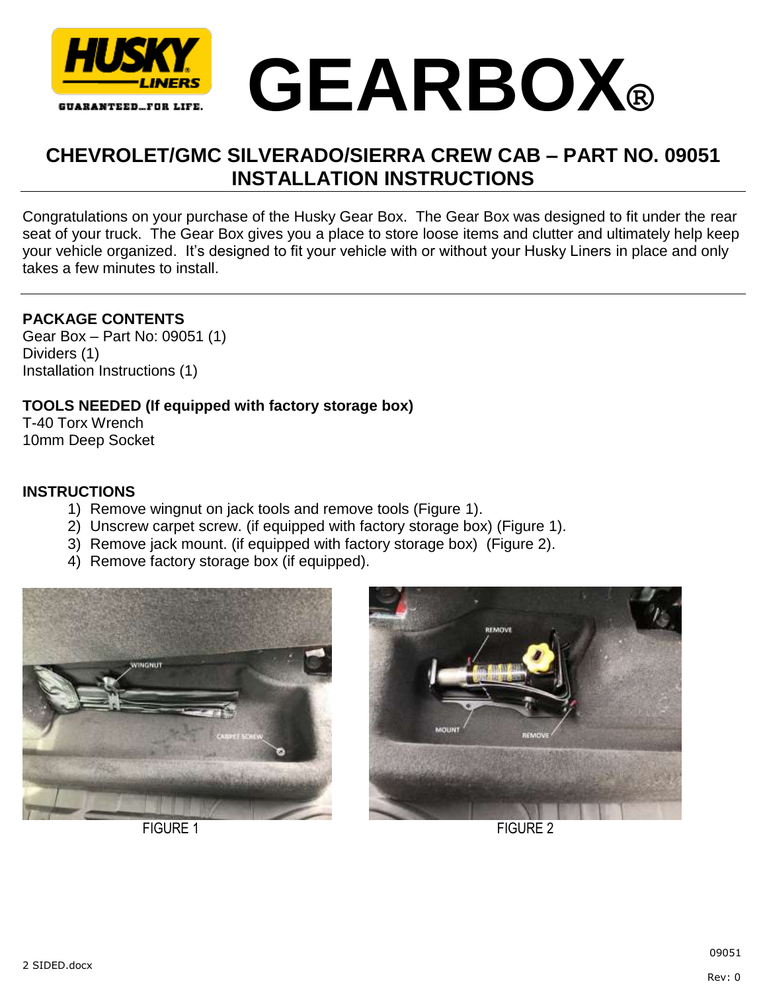



## **CHEVROLET/GMC SILVERADO/SIERRA CREW CAB – PART NO. 09051 INSTALLATION INSTRUCTIONS**

Congratulations on your purchase of the Husky Gear Box. The Gear Box was designed to fit under the rear seat of your truck. The Gear Box gives you a place to store loose items and clutter and ultimately help keep your vehicle organized. It's designed to fit your vehicle with or without your Husky Liners in place and only takes a few minutes to install.

## **PACKAGE CONTENTS**

Gear Box – Part No: 09051 (1) Dividers (1) Installation Instructions (1)

## **TOOLS NEEDED (If equipped with factory storage box)**

T-40 Torx Wrench 10mm Deep Socket

## **INSTRUCTIONS**

- 1) Remove wingnut on jack tools and remove tools (Figure 1).
- 2) Unscrew carpet screw. (if equipped with factory storage box) (Figure 1).
- 3) Remove jack mount. (if equipped with factory storage box) (Figure 2).
- 4) Remove factory storage box (if equipped).





FIGURE 1 FIGURE 2